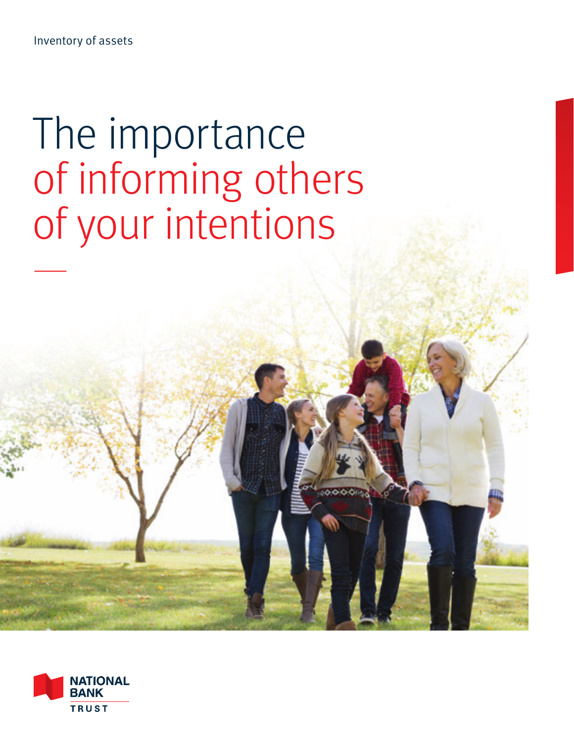Inventory of assets

# The importance of informing others of your intentions —

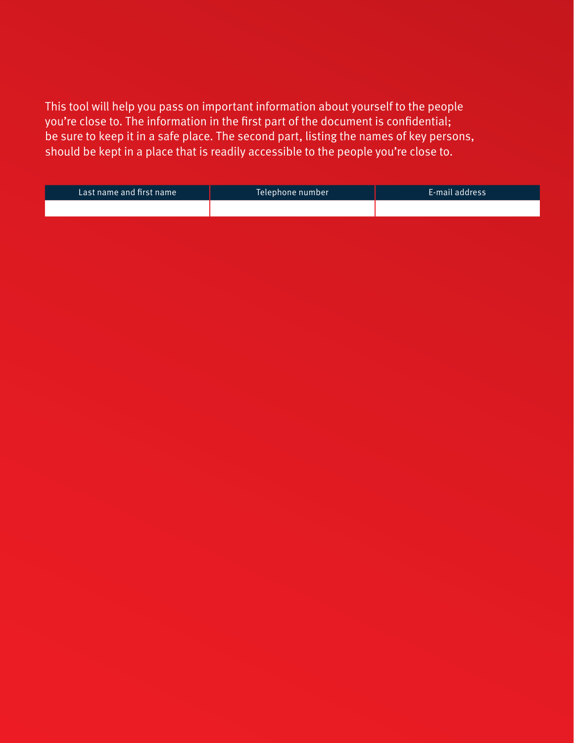This tool will help you pass on important information about yourself to the people you're close to. The information in the first part of the document is confidential; be sure to keep it in a safe place. The second part, listing the names of key persons, should be kept in a place that is readily accessible to the people you're close to.

| Last name and first name | Telephone number | E-mail address |
|--------------------------|------------------|----------------|
|                          |                  |                |
|                          |                  |                |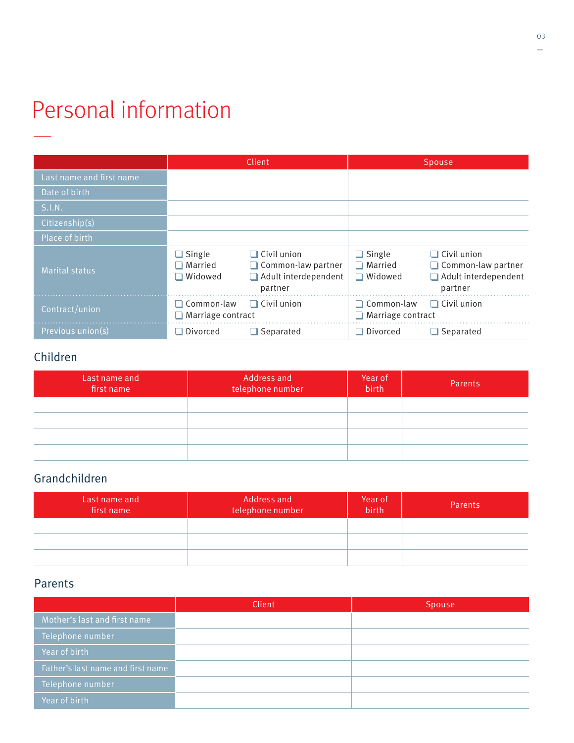### Personal information —

|                          |                                                 | Client                                                                      |                                                         | Spouse                                                                                    |
|--------------------------|-------------------------------------------------|-----------------------------------------------------------------------------|---------------------------------------------------------|-------------------------------------------------------------------------------------------|
| Last name and first name |                                                 |                                                                             |                                                         |                                                                                           |
| Date of birth            |                                                 |                                                                             |                                                         |                                                                                           |
| S.I.N.                   |                                                 |                                                                             |                                                         |                                                                                           |
| Citizenship(s)           |                                                 |                                                                             |                                                         |                                                                                           |
| Place of birth           |                                                 |                                                                             |                                                         |                                                                                           |
| <b>Marital status</b>    | $\Box$ Single<br>$\square$ Married<br>□ Widowed | $\Box$ Civil union<br>Common-law partner<br>Adult interdependent<br>partner | $\Box$ Single<br>$\square$ Married<br>$\square$ Widowed | $\Box$ Civil union<br>$\Box$ Common-law partner<br>$\Box$ Adult interdependent<br>partner |
| Contract/union           | $\Box$ Common-law<br>$\Box$ Marriage contract   | $\Box$ Civil union                                                          | $\Box$ Common-law<br>$\Box$ Marriage contract           | $\Box$ Civil union                                                                        |
| Previous union(s)        | Divorced                                        | $\Box$ Separated                                                            | $\Box$ Divorced                                         | $\Box$ Separated                                                                          |

#### Children

| Last name and<br>first name | Address and<br>telephone number | Year of<br>birth | Parents |
|-----------------------------|---------------------------------|------------------|---------|
|                             |                                 |                  |         |
|                             |                                 |                  |         |
|                             |                                 |                  |         |
|                             |                                 |                  |         |

#### Grandchildren

| Last name and<br>first name | Address and<br>telephone number | Year of<br>birth | Parents |
|-----------------------------|---------------------------------|------------------|---------|
|                             |                                 |                  |         |
|                             |                                 |                  |         |
|                             |                                 |                  |         |

#### Parents

|                                   | Client | Spouse |
|-----------------------------------|--------|--------|
| Mother's last and first name      |        |        |
| Telephone number                  |        |        |
| Year of birth                     |        |        |
| Father's last name and first name |        |        |
| Telephone number                  |        |        |
| Year of birth                     |        |        |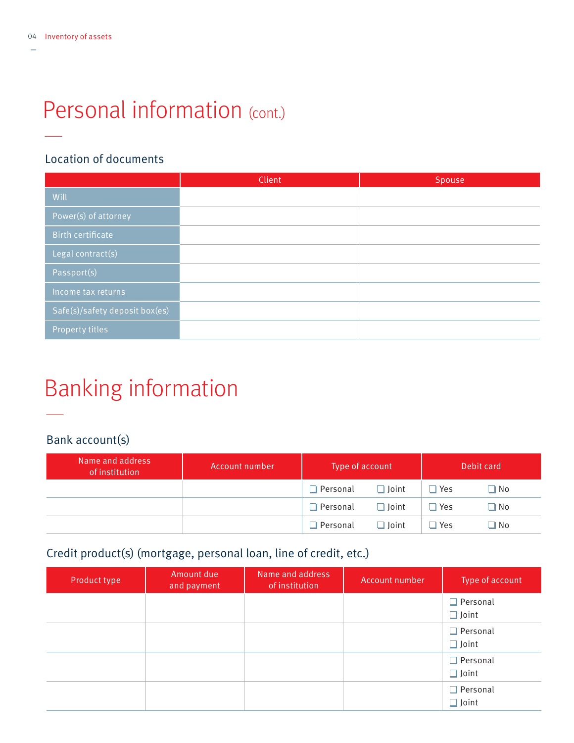# Personal information (cont.)

#### Location of documents

|                                | Client | Spouse |
|--------------------------------|--------|--------|
| Will                           |        |        |
| Power(s) of attorney           |        |        |
| <b>Birth certificate</b>       |        |        |
| Legal contract(s)              |        |        |
| Passport(s)                    |        |        |
| Income tax returns             |        |        |
| Safe(s)/safety deposit box(es) |        |        |
| Property titles                |        |        |

# Banking information

#### Bank account(s)

—

| Name and address<br>of institution | Account number | Type of account |              |               | Debit card   |
|------------------------------------|----------------|-----------------|--------------|---------------|--------------|
|                                    |                | $\Box$ Personal | $\Box$ loint | $\Box$ Yes    | $\square$ No |
|                                    |                | $\Box$ Personal | $\Box$ Joint | $\Box$ Yes    | $\square$ No |
|                                    |                | $\Box$ Personal | $\Box$ Joint | $\square$ Yes | $\square$ No |

#### Credit product(s) (mortgage, personal loan, line of credit, etc.)

| Product type | Amount due<br>and payment | Name and address<br>of institution | Account number | Type of account                 |
|--------------|---------------------------|------------------------------------|----------------|---------------------------------|
|              |                           |                                    |                | $\Box$ Personal<br>$\Box$ Joint |
|              |                           |                                    |                | $\Box$ Personal<br>$\Box$ Joint |
|              |                           |                                    |                | $\Box$ Personal<br>$\Box$ Joint |
|              |                           |                                    |                | $\Box$ Personal<br>$\Box$ Joint |

—

—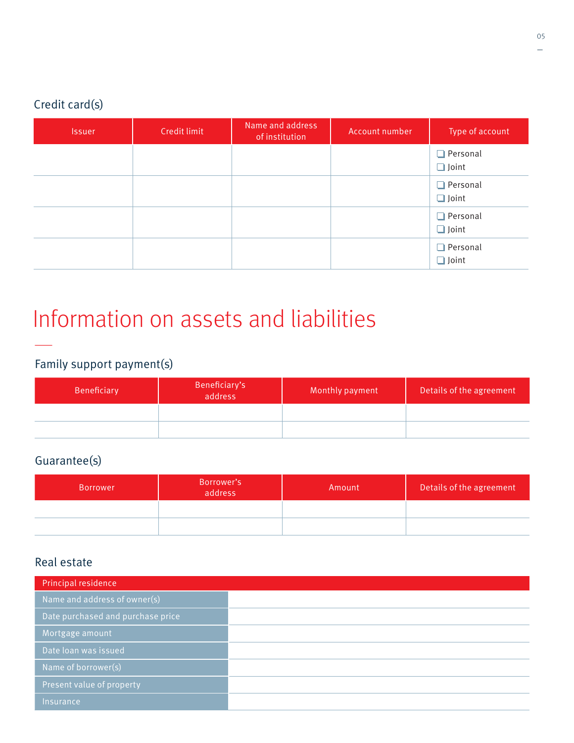#### Credit card(s)

| <b>Issuer</b> | Credit limit | Name and address<br>of institution | Account number | Type of account                 |
|---------------|--------------|------------------------------------|----------------|---------------------------------|
|               |              |                                    |                | $\Box$ Personal<br>$\Box$ Joint |
|               |              |                                    |                | $\Box$ Personal<br>$\Box$ Joint |
|               |              |                                    |                | $\Box$ Personal<br>$\Box$ Joint |
|               |              |                                    |                | $\Box$ Personal<br>$\Box$ Joint |

# Information on assets and liabilities

### — Family support payment(s)

| Beneficiary | Beneficiary's<br>address | Monthly payment | Details of the agreement |
|-------------|--------------------------|-----------------|--------------------------|
|             |                          |                 |                          |
|             |                          |                 |                          |

#### Guarantee(s)

| <b>Borrower</b> | Borrower's<br>address | Amount | Details of the agreement |
|-----------------|-----------------------|--------|--------------------------|
|                 |                       |        |                          |
|                 |                       |        |                          |

#### Real estate

| Principal residence               |
|-----------------------------------|
| Name and address of owner(s)      |
| Date purchased and purchase price |
| Mortgage amount                   |
| Date loan was issued              |
| Name of borrower(s)               |
| Present value of property         |
| Insurance,                        |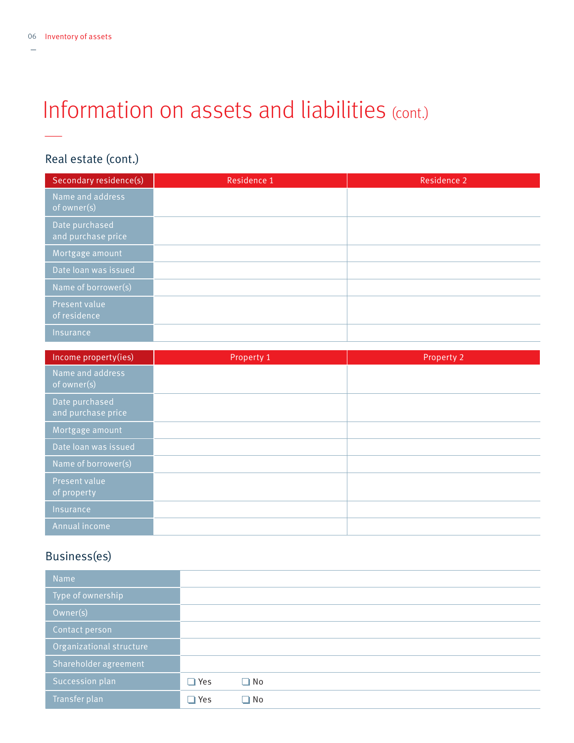—

### Information on assets and liabilities (cont.)

#### Real estate (cont.)

| Secondary residence(s)               | Residence 1 | <b>Residence 2</b> |
|--------------------------------------|-------------|--------------------|
| Name and address<br>of owner(s)      |             |                    |
| Date purchased<br>and purchase price |             |                    |
| Mortgage amount                      |             |                    |
| Date loan was issued                 |             |                    |
| Name of borrower(s)                  |             |                    |
| Present value<br>of residence        |             |                    |
| Insurance                            |             |                    |

| Income property(ies)                 | Property 1 | Property 2 |
|--------------------------------------|------------|------------|
| Name and address<br>of owner(s)      |            |            |
| Date purchased<br>and purchase price |            |            |
| Mortgage amount                      |            |            |
| Date loan was issued                 |            |            |
| Name of borrower(s)                  |            |            |
| Present value<br>of property         |            |            |
| Insurance                            |            |            |
| Annual income                        |            |            |

#### Business(es)

| <b>Name</b>              |            |              |  |  |  |
|--------------------------|------------|--------------|--|--|--|
| Type of ownership        |            |              |  |  |  |
| Owner(s)                 |            |              |  |  |  |
| Contact person           |            |              |  |  |  |
| Organizational structure |            |              |  |  |  |
| Shareholder agreement    |            |              |  |  |  |
| Succession plan          | $\Box$ Yes | $\square$ No |  |  |  |
| Transfer plan            | $\Box$ Yes | $\square$ No |  |  |  |
|                          |            |              |  |  |  |

—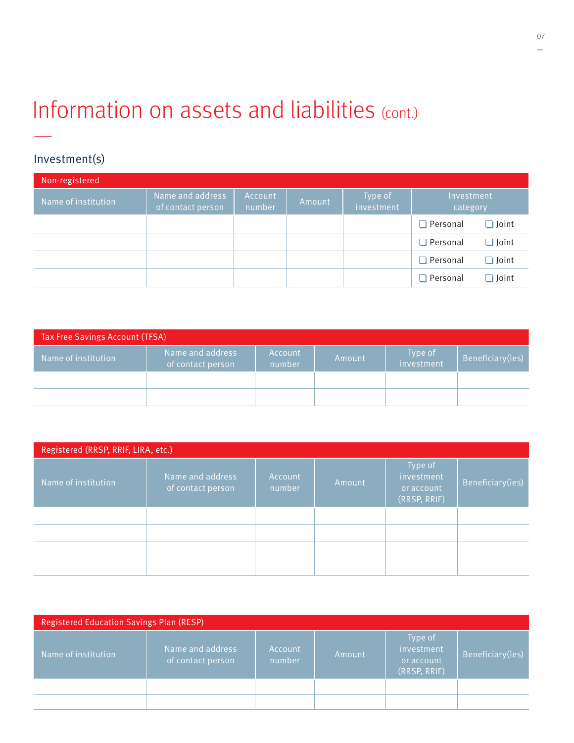### Information on assets and liabilities (cont.) —

#### Investment(s)

| Non-registered      |                                       |                   |        |                       |                        |              |
|---------------------|---------------------------------------|-------------------|--------|-----------------------|------------------------|--------------|
| Name of institution | Name and address<br>of contact person | Account<br>number | Amount | Type of<br>investment | Investment<br>category |              |
|                     |                                       |                   |        |                       | $\Box$ Personal        | $\Box$ Joint |
|                     |                                       |                   |        |                       | $\Box$ Personal        | $\Box$ Joint |
|                     |                                       |                   |        |                       | $\Box$ Personal        | $\Box$ Joint |
|                     |                                       |                   |        |                       | $\Box$ Personal        | $\Box$ Joint |

| <b>Tax Free Savings Account (TFSA)</b> |                                       |                   |        |                       |                  |
|----------------------------------------|---------------------------------------|-------------------|--------|-----------------------|------------------|
| Name of institution                    | Name and address<br>of contact person | Account<br>number | Amount | Type of<br>investment | Beneficiary(ies) |
|                                        |                                       |                   |        |                       |                  |
|                                        |                                       |                   |        |                       |                  |

| Registered (RRSP, RRIF, LIRA, etc.) |                                       |                   |        |                                                     |                  |
|-------------------------------------|---------------------------------------|-------------------|--------|-----------------------------------------------------|------------------|
| Name of institution                 | Name and address<br>of contact person | Account<br>number | Amount | Type of<br>investment<br>or account<br>(RRSP, RRIF) | Beneficiary(ies) |
|                                     |                                       |                   |        |                                                     |                  |
|                                     |                                       |                   |        |                                                     |                  |
|                                     |                                       |                   |        |                                                     |                  |
|                                     |                                       |                   |        |                                                     |                  |

| <b>Registered Education Savings Plan (RESP)</b> |                                       |                   |        |                                                     |                  |
|-------------------------------------------------|---------------------------------------|-------------------|--------|-----------------------------------------------------|------------------|
| Name of institution                             | Name and address<br>of contact person | Account<br>number | Amount | Type of<br>investment<br>or account<br>(RRSP, RRIF) | Beneficiary(ies) |
|                                                 |                                       |                   |        |                                                     |                  |
|                                                 |                                       |                   |        |                                                     |                  |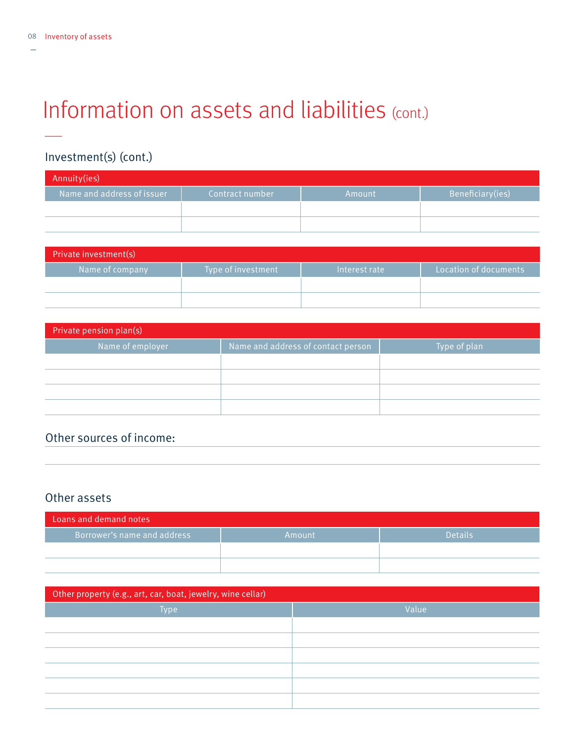—

—

# Information on assets and liabilities (cont.)

#### Investment(s) (cont.)

| Annuity(ies)               |                 |        |                  |
|----------------------------|-----------------|--------|------------------|
| Name and address of issuer | Contract number | Amount | Beneficiary(ies) |
|                            |                 |        |                  |
|                            |                 |        |                  |

| Private investment(s) |                    |               |                       |
|-----------------------|--------------------|---------------|-----------------------|
| Name of company       | Type of investment | Interest rate | Location of documents |
|                       |                    |               |                       |
|                       |                    |               |                       |

| Private pension plan(s) |                                    |              |  |  |
|-------------------------|------------------------------------|--------------|--|--|
| Name of employer        | Name and address of contact person | Type of plan |  |  |
|                         |                                    |              |  |  |
|                         |                                    |              |  |  |
|                         |                                    |              |  |  |
|                         |                                    |              |  |  |

#### Other sources of income:

#### Other assets

| Loans and demand notes      |        |                |
|-----------------------------|--------|----------------|
| Borrower's name and address | Amount | <b>Details</b> |
|                             |        |                |
|                             |        |                |

| Other property (e.g., art, car, boat, jewelry, wine cellar) |       |  |
|-------------------------------------------------------------|-------|--|
| Type                                                        | Value |  |
|                                                             |       |  |
|                                                             |       |  |
|                                                             |       |  |
|                                                             |       |  |
|                                                             |       |  |
|                                                             |       |  |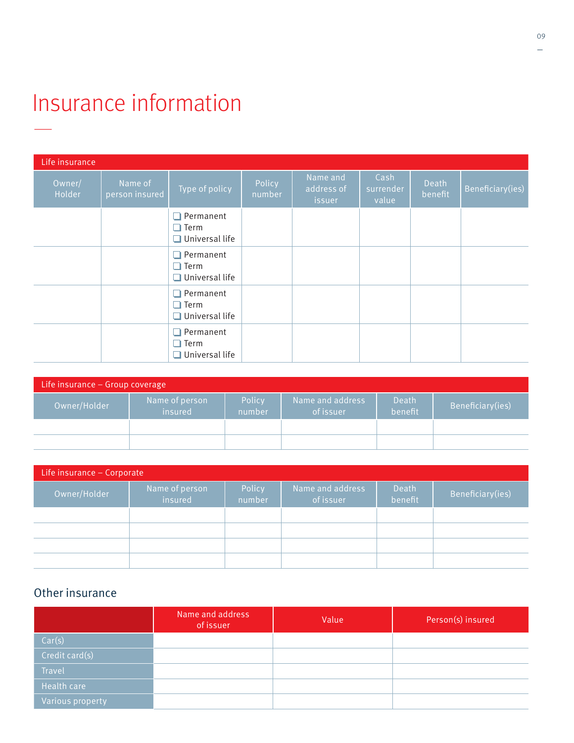### Insurance information —

| Life insurance   |                           |                                                   |                  |                                  |                            |                  |                  |
|------------------|---------------------------|---------------------------------------------------|------------------|----------------------------------|----------------------------|------------------|------------------|
| Owner/<br>Holder | Name of<br>person insured | Type of policy                                    | Policy<br>number | Name and<br>address of<br>issuer | Cash<br>surrender<br>value | Death<br>benefit | Beneficiary(ies) |
|                  |                           | Permanent<br>Term<br>$\Box$ Universal life        |                  |                                  |                            |                  |                  |
|                  |                           | Permanent<br>$\Box$ Term<br>$\Box$ Universal life |                  |                                  |                            |                  |                  |
|                  |                           | Permanent<br>$\Box$ Term<br>$\Box$ Universal life |                  |                                  |                            |                  |                  |
|                  |                           | Permanent<br>$\square$ Term<br>Universal life     |                  |                                  |                            |                  |                  |

| Life insurance $-$ Group coverage |                           |                  |                               |                  |                  |
|-----------------------------------|---------------------------|------------------|-------------------------------|------------------|------------------|
| Owner/Holder                      | Name of person<br>insured | Policy<br>number | Name and address<br>of issuer | Death<br>benefit | Beneficiary(ies) |
|                                   |                           |                  |                               |                  |                  |
|                                   |                           |                  |                               |                  |                  |

| Life insurance - Corporate |                           |                  |                                 |                  |                  |
|----------------------------|---------------------------|------------------|---------------------------------|------------------|------------------|
| Owner/Holder               | Name of person<br>insured | Policy<br>number | Name and address '<br>of issuer | Death<br>benefit | Beneficiary(ies) |
|                            |                           |                  |                                 |                  |                  |
|                            |                           |                  |                                 |                  |                  |
|                            |                           |                  |                                 |                  |                  |
|                            |                           |                  |                                 |                  |                  |

#### Other insurance

|                  | Name and address<br>of issuer | Value | Person(s) insured |
|------------------|-------------------------------|-------|-------------------|
| Car(s)           |                               |       |                   |
| Credit card(s)   |                               |       |                   |
| Travel           |                               |       |                   |
| Health care      |                               |       |                   |
| Various property |                               |       |                   |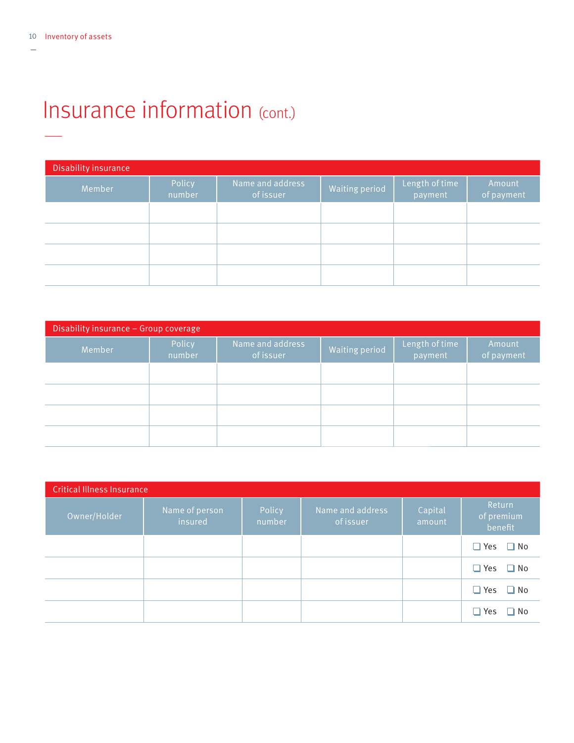### Insurance information (cont.) —

| <b>Disability insurance</b> |                  |                               |                       |                           |                      |
|-----------------------------|------------------|-------------------------------|-----------------------|---------------------------|----------------------|
| Member                      | Policy<br>number | Name and address<br>of issuer | <b>Waiting period</b> | Length of time<br>payment | Amount<br>of payment |
|                             |                  |                               |                       |                           |                      |
|                             |                  |                               |                       |                           |                      |
|                             |                  |                               |                       |                           |                      |
|                             |                  |                               |                       |                           |                      |

| Disability insurance - Group coverage |                  |                               |                       |                           |                      |
|---------------------------------------|------------------|-------------------------------|-----------------------|---------------------------|----------------------|
| Member                                | Policy<br>number | Name and address<br>of issuer | <b>Waiting period</b> | Length of time<br>payment | Amount<br>of payment |
|                                       |                  |                               |                       |                           |                      |
|                                       |                  |                               |                       |                           |                      |
|                                       |                  |                               |                       |                           |                      |
|                                       |                  |                               |                       |                           |                      |

| <b>Critical Illness Insurance</b> |                           |                  |                               |                   |                                 |
|-----------------------------------|---------------------------|------------------|-------------------------------|-------------------|---------------------------------|
| Owner/Holder                      | Name of person<br>insured | Policy<br>number | Name and address<br>of issuer | Capital<br>amount | Return<br>of premium<br>benefit |
|                                   |                           |                  |                               |                   | $\Box$ Yes $\Box$ No            |
|                                   |                           |                  |                               |                   | $\Box$ Yes $\Box$ No            |
|                                   |                           |                  |                               |                   | $\Box$ Yes $\Box$ No            |
|                                   |                           |                  |                               |                   | $\Box$ Yes<br>$\Box$ No         |

—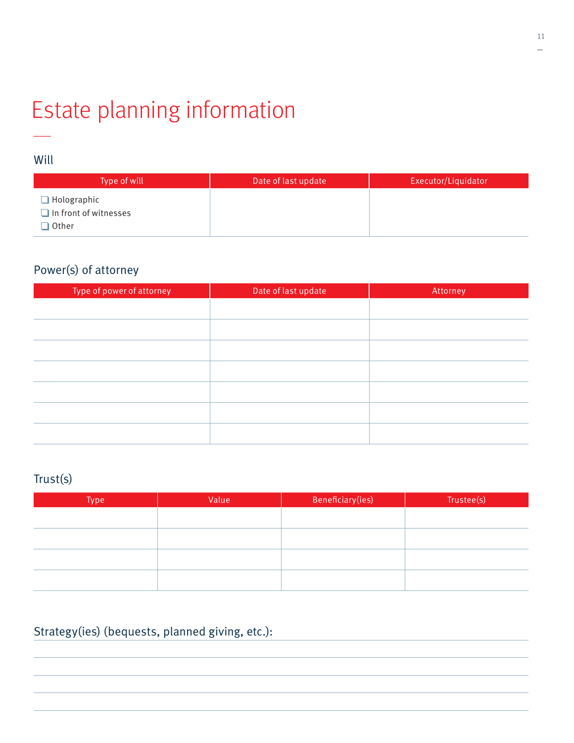### Estate planning information —

#### Will

| Type of will                                                | Date of last update | Executor/Liquidator |
|-------------------------------------------------------------|---------------------|---------------------|
| $\Box$ Holographic<br>$\Box$ In front of witnesses<br>Other |                     |                     |

### Power(s) of attorney

| Type of power of attorney | Date of last update | Attorney |
|---------------------------|---------------------|----------|
|                           |                     |          |
|                           |                     |          |
|                           |                     |          |
|                           |                     |          |
|                           |                     |          |
|                           |                     |          |
|                           |                     |          |

#### Trust(s)

| Type | Value | Beneficiary(ies) | Trustee(s) |
|------|-------|------------------|------------|
|      |       |                  |            |
|      |       |                  |            |
|      |       |                  |            |
|      |       |                  |            |
|      |       |                  |            |
|      |       |                  |            |

### Strategy(ies) (bequests, planned giving, etc.):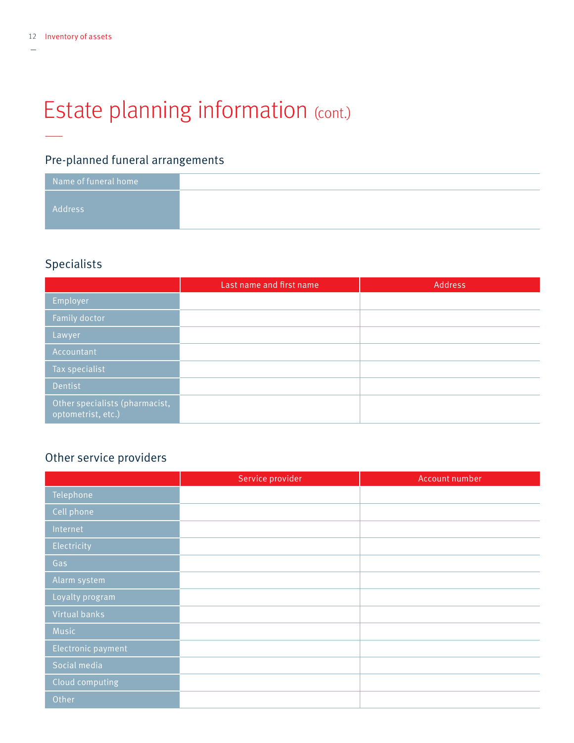—

—

# Estate planning information (cont.)

### Pre-planned funeral arrangements

| $\,$ Name of funeral home $\,$ |
|--------------------------------|
| Address                        |
|                                |

#### Specialists

|                                                      | Last name and first name | Address |
|------------------------------------------------------|--------------------------|---------|
| Employer                                             |                          |         |
| Family doctor                                        |                          |         |
| Lawyer                                               |                          |         |
| Accountant                                           |                          |         |
| Tax specialist                                       |                          |         |
| Dentist                                              |                          |         |
| Other specialists (pharmacist,<br>optometrist, etc.) |                          |         |

#### Other service providers

|                    | Service provider | Account number |
|--------------------|------------------|----------------|
| Telephone          |                  |                |
| Cell phone         |                  |                |
| Internet           |                  |                |
| Electricity        |                  |                |
| Gas                |                  |                |
| Alarm system       |                  |                |
| Loyalty program    |                  |                |
| Virtual banks      |                  |                |
| Music              |                  |                |
| Electronic payment |                  |                |
| Social media       |                  |                |
| Cloud computing    |                  |                |
| Other              |                  |                |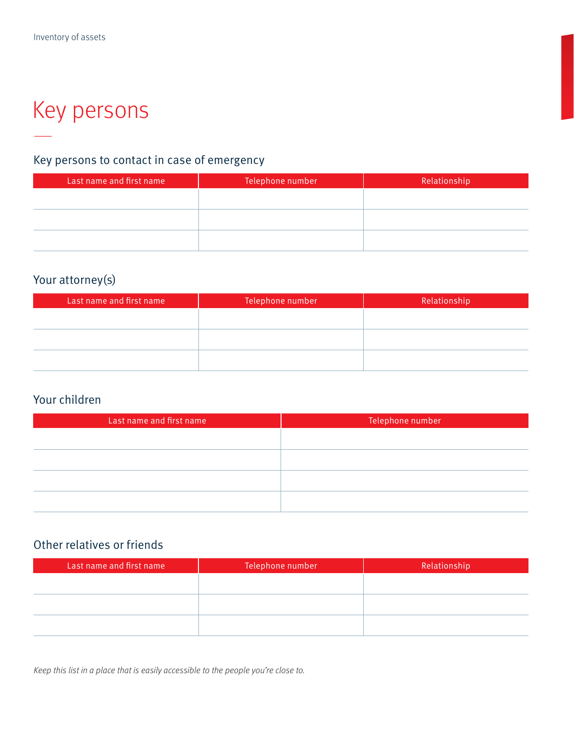### Key persons —

#### Key persons to contact in case of emergency

| Last name and first name | Telephone number | Relationship |
|--------------------------|------------------|--------------|
|                          |                  |              |
|                          |                  |              |
|                          |                  |              |
|                          |                  |              |
|                          |                  |              |

#### Your attorney(s)

| Last name and first name | Telephone number | Relationship |
|--------------------------|------------------|--------------|
|                          |                  |              |
|                          |                  |              |
|                          |                  |              |
|                          |                  |              |

#### Your children

| Last name and first name | Telephone number |
|--------------------------|------------------|
|                          |                  |
|                          |                  |
|                          |                  |
|                          |                  |
|                          |                  |
|                          |                  |

#### Other relatives or friends

| Last name and first name | Telephone number | Relationship |
|--------------------------|------------------|--------------|
|                          |                  |              |
|                          |                  |              |
|                          |                  |              |
|                          |                  |              |

Keep this list in a place that is easily accessible to the people you're close to.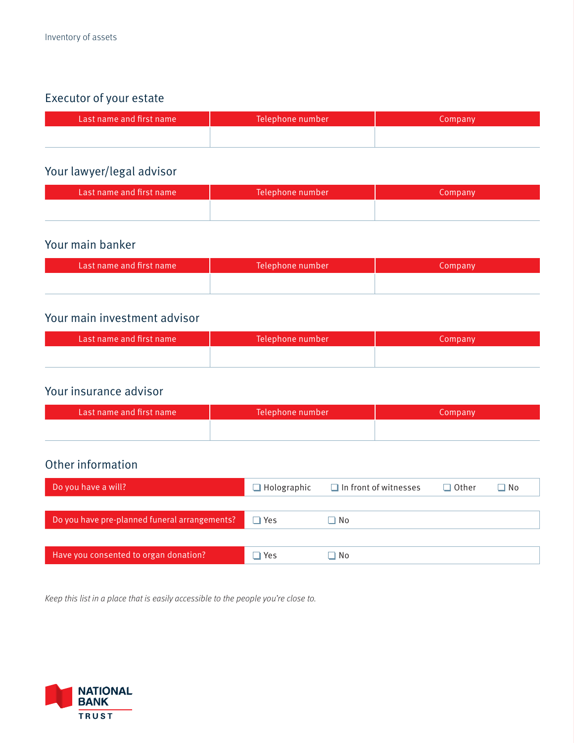### Executor of your estate

| Last name and first name | Telephone number | Company |
|--------------------------|------------------|---------|
|                          |                  |         |

#### Your lawyer/legal advisor

| Last name and first name | Telephone number | Company |
|--------------------------|------------------|---------|
|                          |                  |         |

#### Your main banker

| Last name and first name | Telephone number | Company |
|--------------------------|------------------|---------|
|                          |                  |         |

#### Your main investment advisor

| Last name and first name | Telephone number | Company |
|--------------------------|------------------|---------|
|                          |                  |         |

#### Your insurance advisor

| Last name and first name | Telephone number | Company |
|--------------------------|------------------|---------|
|                          |                  |         |

#### Other information

| Do you have a will?                           | $\Box$ Holographic | $\Box$ In front of witnesses | $\Box$ Other | $\square$ No |
|-----------------------------------------------|--------------------|------------------------------|--------------|--------------|
|                                               |                    |                              |              |              |
| Do you have pre-planned funeral arrangements? | $\Box$ Yes         | $\square$ No                 |              |              |
|                                               |                    |                              |              |              |
| Have you consented to organ donation?         | $\Box$ Yes         | □ No                         |              |              |

Keep this list in a place that is easily accessible to the people you're close to.